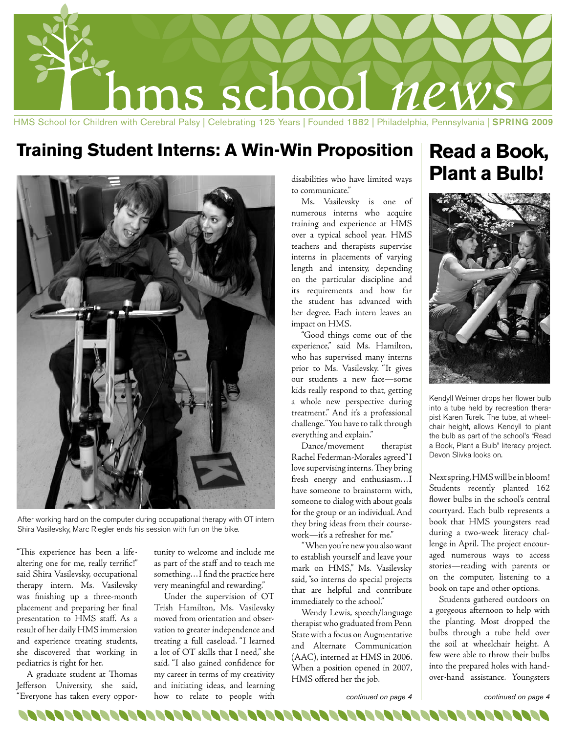

## **Training Student Interns: A Win-Win Proposition Read a Book,**



After working hard on the computer during occupational therapy with OT intern Shira Vasilevsky, Marc Riegler ends his session with fun on the bike.

"This experience has been a lifealtering one for me, really terrific!" said Shira Vasilevsky, occupational therapy intern. Ms. Vasilevsky was finishing up a three-month placement and preparing her final presentation to HMS staff. As a result of her daily HMS immersion and experience treating students, she discovered that working in pediatrics is right for her.

A graduate student at Thomas Jefferson University, she said, "Everyone has taken every opportunity to welcome and include me as part of the staff and to teach me something…I find the practice here very meaningful and rewarding."

Under the supervision of OT Trish Hamilton, Ms. Vasilevsky moved from orientation and observation to greater independence and treating a full caseload. "I learned a lot of OT skills that I need," she said. "I also gained confidence for my career in terms of my creativity and initiating ideas, and learning how to relate to people with

disabilities who have limited ways to communicate."

Ms. Vasilevsky is one of numerous interns who acquire training and experience at HMS over a typical school year. HMS teachers and therapists supervise interns in placements of varying length and intensity, depending on the particular discipline and its requirements and how far the student has advanced with her degree. Each intern leaves an impact on HMS.

"Good things come out of the experience," said Ms. Hamilton, who has supervised many interns prior to Ms. Vasilevsky. "It gives our students a new face—some kids really respond to that, getting a whole new perspective during treatment." And it's a professional challenge. "You have to talk through everything and explain."

Dance/movement therapist Rachel Federman-Morales agreed"I love supervising interns. They bring fresh energy and enthusiasm…I have someone to brainstorm with, someone to dialog with about goals for the group or an individual. And they bring ideas from their coursework—it's a refresher for me."

 "When you're new you also want to establish yourself and leave your mark on HMS," Ms. Vasilevsky said, "so interns do special projects that are helpful and contribute immediately to the school."

Wendy Lewis, speech/language therapist who graduated from Penn State with a focus on Augmentative and Alternate Communication (AAC), interned at HMS in 2006. When a position opened in 2007, HMS offered her the job.

# **Plant a Bulb!**



Kendyll Weimer drops her flower bulb into a tube held by recreation therapist Karen Turek. The tube, at wheelchair height, allows Kendyll to plant the bulb as part of the school's "Read a Book, Plant a Bulb" literacy project. Devon Slivka looks on.

Next spring, HMS will be in bloom! Students recently planted 162 flower bulbs in the school's central courtyard. Each bulb represents a book that HMS youngsters read during a two-week literacy challenge in April. The project encouraged numerous ways to access stories—reading with parents or on the computer, listening to a book on tape and other options.

Students gathered outdoors on a gorgeous afternoon to help with the planting. Most dropped the bulbs through a tube held over the soil at wheelchair height. A few were able to throw their bulbs into the prepared holes with handover-hand assistance. Youngsters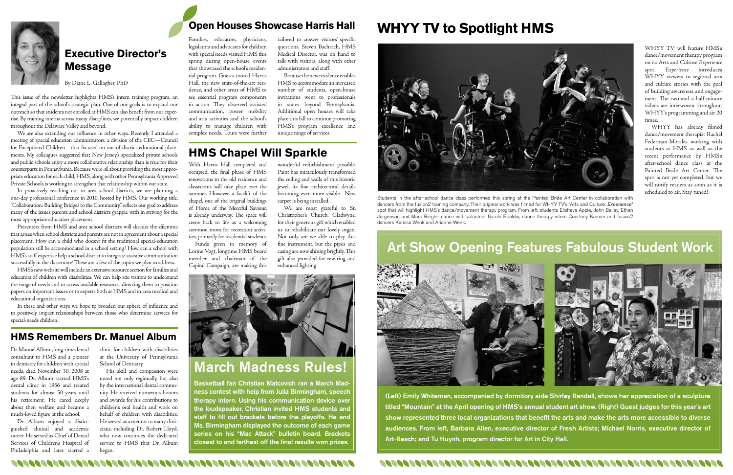

Dr. Manuel Album, long-time dental consultant to HMS and a pioneer in dentistry for children with special needs, died November 30, 2008 at age 89. Dr. Album started HMS's dental clinic in 1956 and treated students for almost 50 years until his retirement. He cared deeply about their welfare and became a much-loved figure at the school.

Dr. Album enjoyed a distinguished clinical and academic career. He served as Chief of Dental Services of Children's Hospital of Philadelphia and later started a

clinic for children with disabilities at the University of Pennsylvania School of Dentistry.

His skill and compassion were noted not only regionally, but also by the international dental community. He received numerous honors and awards for his contributions to children's oral health and work on behalf of children with disabilities. He served as a mentor to many clinicians, including Dr. Robert Lloyd, who now continues the dedicated service to HMS that Dr. Album began.



### **Executive Director's Message**

By Diane L. Gallagher, PhD

This issue of the newsletter highlights HMS's intern training program, an integral part of the school's strategic plan. One of our goals is to expand our outreach so that students not enrolled at HMS can also benefit from our expertise. By training interns across many disciplines, we potentially impact children throughout the Delaware Valley and beyond.

We are also extending our influence in other ways. Recently I attended a meeting of special education administrators, a division of the CEC—Council for Exceptional Children—that focused on out-of-district educational placements. My colleagues suggested that New Jersey's specialized private schools and public schools enjoy a more collaborative relationship than is true for their counterparts in Pennsylvania. Because we're *all* about providing the most appropriate education for each child, HMS, along with other Pennsylvania Approved Private Schools is working to strengthen that relationship within our state.

In proactively reaching out to area school districts, we are planning a one-day professional conference in 2010, hosted by HMS. Our working title, "Collaboration: Building Bridges to the Community," reflects our goal to address many of the issues parents and school districts grapple with in striving for the most appropriate education placement.

Presenters from HMS and area school districts will discuss the dilemma that arises when school districts and parents are not in agreement about a special placement. How can a child who doesn't fit the traditional special-education population still be accommodated in a school setting? How can a school with HMS's staff expertise help a school district to integrate assistive communication successfully in the classroom? These are a few of the topics we plan to address.

HMS's new website will include an extensive resource section for families and educators of children with disabilities. We can help site visitors to understand the range of needs and to access available resources, directing them to position papers on important issues or to experts both at HMS and in area medical and educational organizations.

In these and other ways we hope to broaden our sphere of influence and to positively impact relationships between those who determine services for special-needs children.

# **WHYY TV to Spotlight HMS**



Families, educators, physicians, legislators and advocates for children with special needs visited HMS this spring during open-house events that showcased the school's residential program. Guests toured Harris Hall, the new state-of-the-art residence, and other areas of HMS to see essential program components in action. They observed assisted communication, power mobility and arts activities and the school's ability to manage children with complex needs. Tours were further

tailored to answer visitors' specific questions. Steven Bachrach, HMS Medical Director, was on hand to talk with visitors, along with other administrators and staff.

Because the new residence enables HMS to accommodate an increased number of students, open-house invitations went to professionals in states beyond Pennsylvania. Additional open houses will take place this fall to continue promoting HMS's program excellence and unique range of services.

> Students in the after-school dance class performed this spring at the Painted Bride Art Center in collaboration with dancers from the fusion2 training company. Their original work was filmed for WHYY TV's "Arts and Culture: *Experience*" spot that will highlight HMS's dance/movement therapy program. From left, students Elisheva Apple, John Bailey, Ethan Jorgenson and Mark Riegler dance with volunteer Nicole Bouldin, dance therapy intern Courtney Kramer and fusion2 dancers Karissa Wenk and Arianne Wenk.



WHYY TV will feature HMS's dance/movement therapy program on its Arts and Culture *Experience* spot. *Experience* introduces WHYY viewers to regional arts and culture stories with the goal of building awareness and engagement. The two-and-a-half-minute videos are interwoven throughout WHYY's programming and air 20 times.

WHYY has already filmed dance/movement therapist Rachel Federman-Morales working with students at HMS as well as the recent performance by HMS's after-school dance class at the Painted Bride Art Center. The spot is not yet completed, but we will notify readers as soon as it is scheduled to air. Stay tuned!

With Harris Hall completed and occupied, the final phase of HMS renovations to the old residence and classrooms will take place over the summer. However, a facelift of the chapel, one of the original buildings of Home of the Merciful Saviour, is already underway. The space will come back to life as a welcoming common room for recreation activities, primarily for residential students.

Funds given in memory of Lorine Vogt, longtime HMS board member and chairman of the Capital Campaign, are making this

wonderful refurbishment possible. Paint has miraculously transformed the ceiling and walls of this historic jewel, its fine architectural details becoming even more visible. New carpet is being installed.

We are most grateful to St. Christopher's Church, Gladwyne, for their generous gift which enabled us to rehabilitate our lovely organ. Not only are we able to play this fine instrument, but the pipes and casing are now shining brightly. This gift also provided for rewiring and enhanced lighting.



### **HMS Remembers Dr. Manuel Album**

### **Open Houses Showcase Harris Hall**

## **HMS Chapel Will Sparkle**

(Left) Emily Whiteman, accompanied by dormitory aide Shirley Randall, shows her appreciation of a sculpture titled "Mountain" at the April opening of HMS's annual student art show. (Right) Guest judges for this year's art show represented three local organizations that benefit the arts and make the arts more accessible to diverse audiences. From left, Barbara Allen, executive director of Fresh Artists; Michael Norris, executive director of Art-Reach; and Tu Huynh, program director for Art in City Hall.

# March Madness Rules!

Basketball fan Christian Matcovich ran a March Madness contest with help from Julia Birmingham, speech therapy intern. Using his communication device over the loudspeaker, Christian invited HMS students and staff to fill out brackets before the playoffs. He and Ms. Birmingham displayed the outcome of each game series on his "Mac Attack" bulletin board. Brackets closest to and farthest off the final results won prizes.